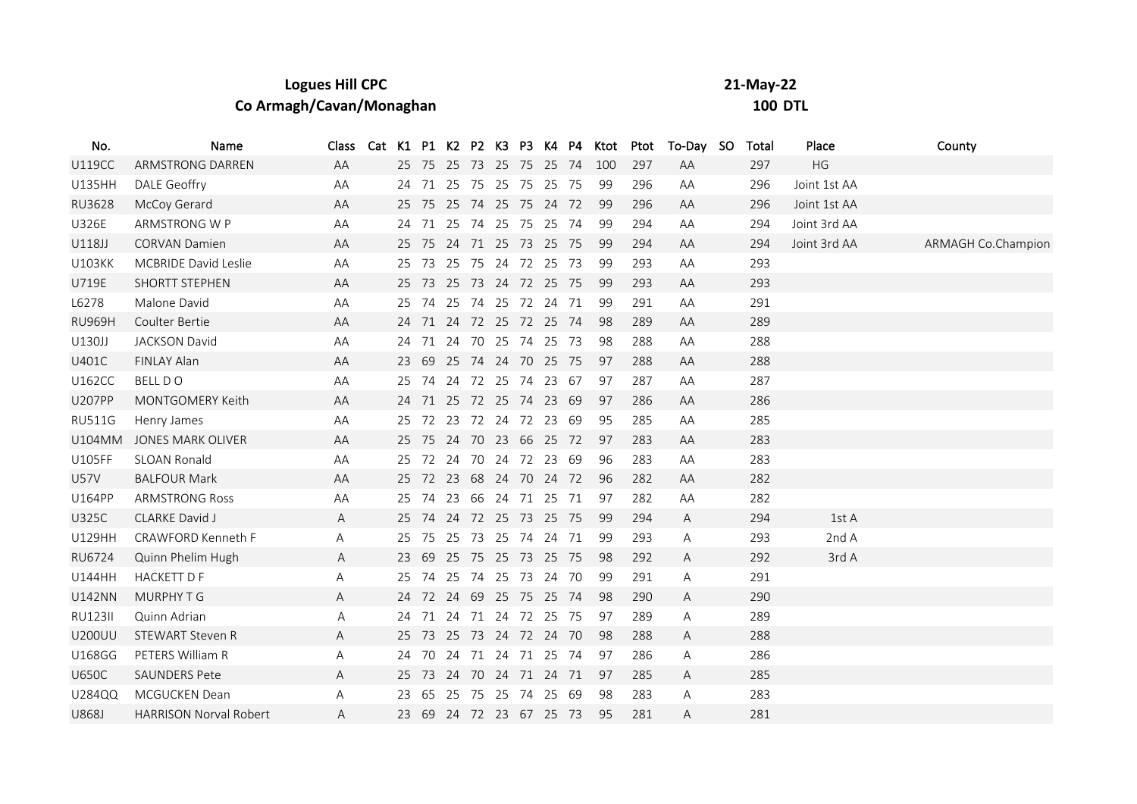| <b>Logues Hill CPC</b>   | 21-May-22      |
|--------------------------|----------------|
| Co Armagh/Cavan/Monaghan | <b>100 DTL</b> |

| No.            | Name                          | Class |    |    |                         |  |  | Cat K1 P1 K2 P2 K3 P3 K4 P4 Ktot |     | Ptot To-Day SO | Total | Place        | County             |
|----------------|-------------------------------|-------|----|----|-------------------------|--|--|----------------------------------|-----|----------------|-------|--------------|--------------------|
| <b>U119CC</b>  | ARMSTRONG DARREN              | AA    |    |    | 25 75 25 73 25 75 25 74 |  |  | 100                              | 297 | AA             | 297   | HG           |                    |
| U135HH         | <b>DALE Geoffry</b>           | AA    | 24 |    | 71 25 75 25 75 25 75    |  |  | -99                              | 296 | AA             | 296   | Joint 1st AA |                    |
| <b>RU3628</b>  | McCoy Gerard                  | AA    | 25 |    | 75 25 74 25 75 24 72    |  |  | -99                              | 296 | AA             | 296   | Joint 1st AA |                    |
| <b>U326E</b>   | ARMSTRONG W P                 | AA    | 24 |    | 71 25 74 25 75 25 74    |  |  | 99                               | 294 | AA             | 294   | Joint 3rd AA |                    |
| U118JJ         | <b>CORVAN Damien</b>          | AA    |    |    | 25 75 24 71 25 73 25 75 |  |  | 99                               | 294 | AA             | 294   | Joint 3rd AA | ARMAGH Co.Champion |
| <b>U103KK</b>  | <b>MCBRIDE David Leslie</b>   | AA    | 25 |    | 73 25 75 24 72 25 73    |  |  | -99                              | 293 | AA             | 293   |              |                    |
| U719E          | <b>SHORTT STEPHEN</b>         | AA    | 25 |    | 73 25 73 24 72 25 75    |  |  | 99                               | 293 | AA             | 293   |              |                    |
| L6278          | Malone David                  | AA    | 25 | 74 | 25 74 25 72 24 71       |  |  | -99                              | 291 | AA             | 291   |              |                    |
| <b>RU969H</b>  | Coulter Bertie                | AA    |    |    | 24 71 24 72 25 72 25 74 |  |  | -98                              | 289 | AA             | 289   |              |                    |
| U130JJ         | <b>JACKSON David</b>          | AA    | 24 |    | 71 24 70 25 74 25 73    |  |  | -98                              | 288 | AA             | 288   |              |                    |
| U401C          | FINLAY Alan                   | AA    | 23 |    | 69 25 74 24 70 25 75    |  |  | 97                               | 288 | AA             | 288   |              |                    |
| <b>U162CC</b>  | <b>BELL DO</b>                | AA    | 25 |    | 74 24 72 25 74 23 67    |  |  | 97                               | 287 | AA             | 287   |              |                    |
| <b>U207PP</b>  | MONTGOMERY Keith              | AA    |    |    | 24 71 25 72 25 74 23 69 |  |  | 97                               | 286 | AA             | 286   |              |                    |
| <b>RU511G</b>  | Henry James                   | AA    | 25 |    | 72 23 72 24 72 23 69    |  |  | 95                               | 285 | AA             | 285   |              |                    |
| <b>U104MM</b>  | <b>JONES MARK OLIVER</b>      | AA    | 25 |    | 75 24 70 23 66 25 72    |  |  | 97                               | 283 | AA             | 283   |              |                    |
| U105FF         | <b>SLOAN Ronald</b>           | AA    | 25 |    | 72 24 70 24 72 23 69    |  |  | 96                               | 283 | AA             | 283   |              |                    |
| <b>U57V</b>    | <b>BALFOUR Mark</b>           | AA    | 25 |    | 72 23 68 24 70 24 72    |  |  | 96                               | 282 | AA             | 282   |              |                    |
| <b>U164PP</b>  | <b>ARMSTRONG Ross</b>         | AA    | 25 |    | 74 23 66 24 71 25 71    |  |  | 97                               | 282 | AA             | 282   |              |                    |
| <b>U325C</b>   | CLARKE David J                | A     | 25 |    | 74 24 72 25 73 25 75    |  |  | -99                              | 294 | A              | 294   | 1st A        |                    |
| U129HH         | CRAWFORD Kenneth F            | Α     | 25 |    | 75 25 73 25 74 24 71    |  |  | 99                               | 293 | Α              | 293   | 2nd A        |                    |
| RU6724         | Quinn Phelim Hugh             | A     | 23 | 69 | 25 75 25 73 25 75       |  |  | 98                               | 292 | A              | 292   | 3rd A        |                    |
| U144HH         | <b>HACKETT D F</b>            | Α     | 25 |    | 74 25 74 25 73 24 70    |  |  | 99                               | 291 | Α              | 291   |              |                    |
| <b>U142NN</b>  | MURPHY T G                    | A     | 24 |    | 72 24 69 25 75 25 74    |  |  | 98                               | 290 | A              | 290   |              |                    |
| <b>RU123II</b> | Quinn Adrian                  | Α     |    |    | 24 71 24 71 24 72 25 75 |  |  | 97                               | 289 | A              | 289   |              |                    |
| <b>U200UU</b>  | STEWART Steven R              | A     | 25 | 73 | 25 73 24 72 24 70       |  |  | -98                              | 288 | A              | 288   |              |                    |
| <b>U168GG</b>  | PETERS William R              | Α     |    |    | 24 70 24 71 24 71 25 74 |  |  | 97                               | 286 | A              | 286   |              |                    |
| <b>U650C</b>   | <b>SAUNDERS Pete</b>          | A     | 25 |    | 73 24 70 24 71 24 71    |  |  | 97                               | 285 | A              | 285   |              |                    |
| U284QQ         | MCGUCKEN Dean                 | Α     | 23 |    | 65 25 75 25 74 25 69    |  |  | 98                               | 283 | Α              | 283   |              |                    |
| U868J          | <b>HARRISON Norval Robert</b> | A     | 23 |    | 69 24 72 23 67 25 73    |  |  | 95                               | 281 | A              | 281   |              |                    |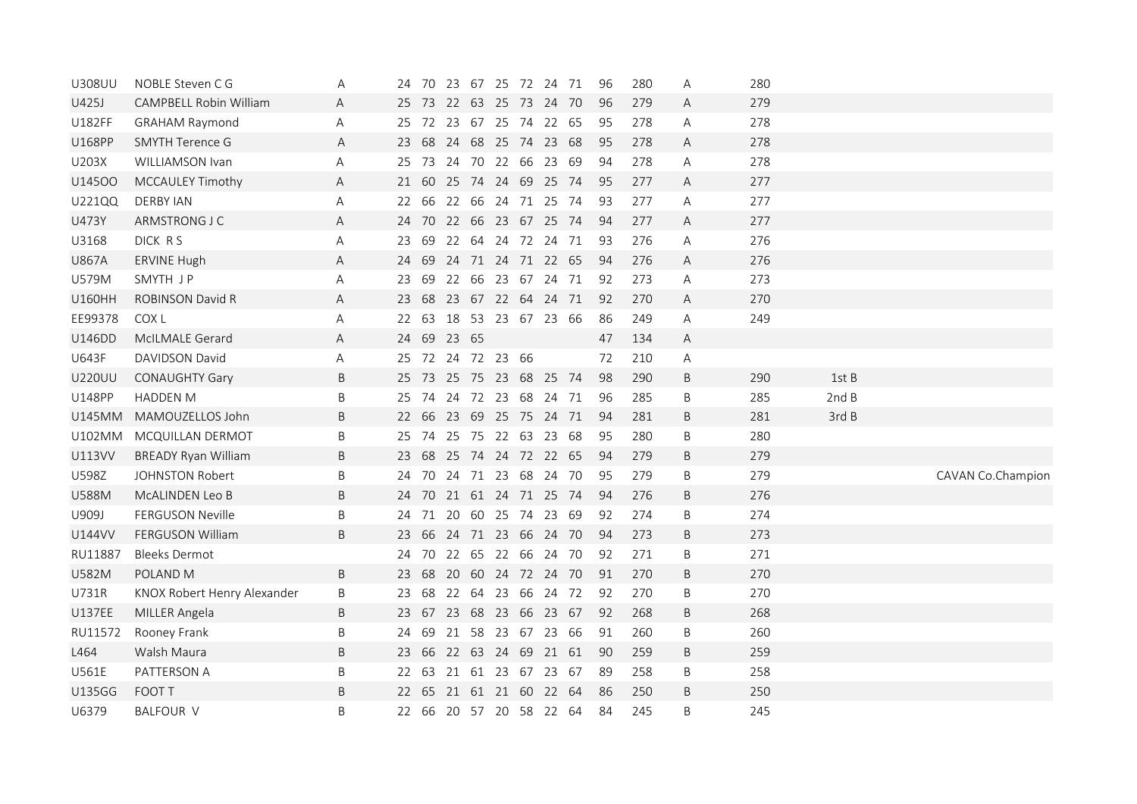| <b>U308UU</b> | NOBLE Steven C G            | A | 24 |             |                   |  | 70 23 67 25 72 24 71    | 96 | 280 | A            | 280 |       |                   |
|---------------|-----------------------------|---|----|-------------|-------------------|--|-------------------------|----|-----|--------------|-----|-------|-------------------|
| U425J         | CAMPBELL Robin William      | Α |    |             |                   |  | 25 73 22 63 25 73 24 70 | 96 | 279 | A            | 279 |       |                   |
| U182FF        | <b>GRAHAM Raymond</b>       | Α |    |             |                   |  | 25 72 23 67 25 74 22 65 | 95 | 278 | Α            | 278 |       |                   |
| U168PP        | <b>SMYTH Terence G</b>      | A |    |             |                   |  | 23 68 24 68 25 74 23 68 | 95 | 278 | A            | 278 |       |                   |
| U203X         | WILLIAMSON Ivan             | Α |    |             |                   |  | 25 73 24 70 22 66 23 69 | 94 | 278 | Α            | 278 |       |                   |
| U14500        | MCCAULEY Timothy            | A |    |             |                   |  | 21 60 25 74 24 69 25 74 | 95 | 277 | A            | 277 |       |                   |
| U221QQ        | <b>DERBY IAN</b>            | Α |    |             |                   |  | 22 66 22 66 24 71 25 74 | 93 | 277 | $\mathsf{A}$ | 277 |       |                   |
| U473Y         | ARMSTRONG J C               | Α |    |             |                   |  | 24 70 22 66 23 67 25 74 | 94 | 277 | A            | 277 |       |                   |
| U3168         | DICK RS                     | Α |    |             |                   |  | 23 69 22 64 24 72 24 71 | 93 | 276 | A            | 276 |       |                   |
| <b>U867A</b>  | <b>ERVINE Hugh</b>          | Α |    |             |                   |  | 24 69 24 71 24 71 22 65 | 94 | 276 | $\mathsf{A}$ | 276 |       |                   |
| U579M         | SMYTH JP                    | Α | 23 |             |                   |  | 69 22 66 23 67 24 71    | 92 | 273 | Α            | 273 |       |                   |
| <b>U160HH</b> | <b>ROBINSON David R</b>     | Α | 23 |             |                   |  | 68 23 67 22 64 24 71    | 92 | 270 | Α            | 270 |       |                   |
| EE99378       | COX L                       | Α |    |             |                   |  | 22 63 18 53 23 67 23 66 | 86 | 249 | Α            | 249 |       |                   |
| U146DD        | McILMALE Gerard             | Α |    | 24 69 23 65 |                   |  |                         | 47 | 134 | A            |     |       |                   |
| U643F         | DAVIDSON David              | Α |    |             | 25 72 24 72 23 66 |  |                         | 72 | 210 | Α            |     |       |                   |
| <b>U220UU</b> | <b>CONAUGHTY Gary</b>       | B |    |             |                   |  | 25 73 25 75 23 68 25 74 | 98 | 290 | B            | 290 | 1st B |                   |
| <b>U148PP</b> | HADDEN M                    | B |    |             |                   |  | 25 74 24 72 23 68 24 71 | 96 | 285 | B            | 285 | 2ndB  |                   |
| <b>U145MM</b> | MAMOUZELLOS John            | B |    |             |                   |  | 22 66 23 69 25 75 24 71 | 94 | 281 | B            | 281 | 3rd B |                   |
| <b>U102MM</b> | MCQUILLAN DERMOT            | B | 25 |             |                   |  | 74 25 75 22 63 23 68    | 95 | 280 | B            | 280 |       |                   |
| <b>U113VV</b> | <b>BREADY Ryan William</b>  | B |    |             |                   |  | 23 68 25 74 24 72 22 65 | 94 | 279 | B            | 279 |       |                   |
| U598Z         | <b>JOHNSTON Robert</b>      | B |    |             |                   |  | 24 70 24 71 23 68 24 70 | 95 | 279 | B            | 279 |       | CAVAN Co.Champion |
| <b>U588M</b>  | McALINDEN Leo B             | B |    |             |                   |  | 24 70 21 61 24 71 25 74 | 94 | 276 | B            | 276 |       |                   |
| U909J         | FERGUSON Neville            | B | 24 |             |                   |  | 71 20 60 25 74 23 69    | 92 | 274 | B            | 274 |       |                   |
| U144VV        | FERGUSON William            | B |    |             |                   |  | 23 66 24 71 23 66 24 70 | 94 | 273 | B            | 273 |       |                   |
| RU11887       | <b>Bleeks Dermot</b>        |   | 24 |             |                   |  | 70 22 65 22 66 24 70    | 92 | 271 | B            | 271 |       |                   |
| <b>U582M</b>  | POLAND <sub>M</sub>         | B | 23 |             |                   |  | 68 20 60 24 72 24 70    | 91 | 270 | B            | 270 |       |                   |
| U731R         | KNOX Robert Henry Alexander | B | 23 |             |                   |  | 68 22 64 23 66 24 72    | 92 | 270 | B            | 270 |       |                   |
| <b>U137EE</b> | MILLER Angela               | B |    |             |                   |  | 23 67 23 68 23 66 23 67 | 92 | 268 | B            | 268 |       |                   |
| RU11572       | Rooney Frank                | B | 24 |             |                   |  | 69 21 58 23 67 23 66    | 91 | 260 | B            | 260 |       |                   |
| L464          | Walsh Maura                 | B | 23 |             |                   |  | 66 22 63 24 69 21 61    | 90 | 259 | B            | 259 |       |                   |
| U561E         | PATTERSON A                 | B |    |             |                   |  | 22 63 21 61 23 67 23 67 | 89 | 258 | B            | 258 |       |                   |
| <b>U135GG</b> | FOOT T                      | B |    |             |                   |  | 22 65 21 61 21 60 22 64 | 86 | 250 | B            | 250 |       |                   |
| U6379         | <b>BALFOUR V</b>            | B |    |             |                   |  | 22 66 20 57 20 58 22 64 | 84 | 245 | B            | 245 |       |                   |